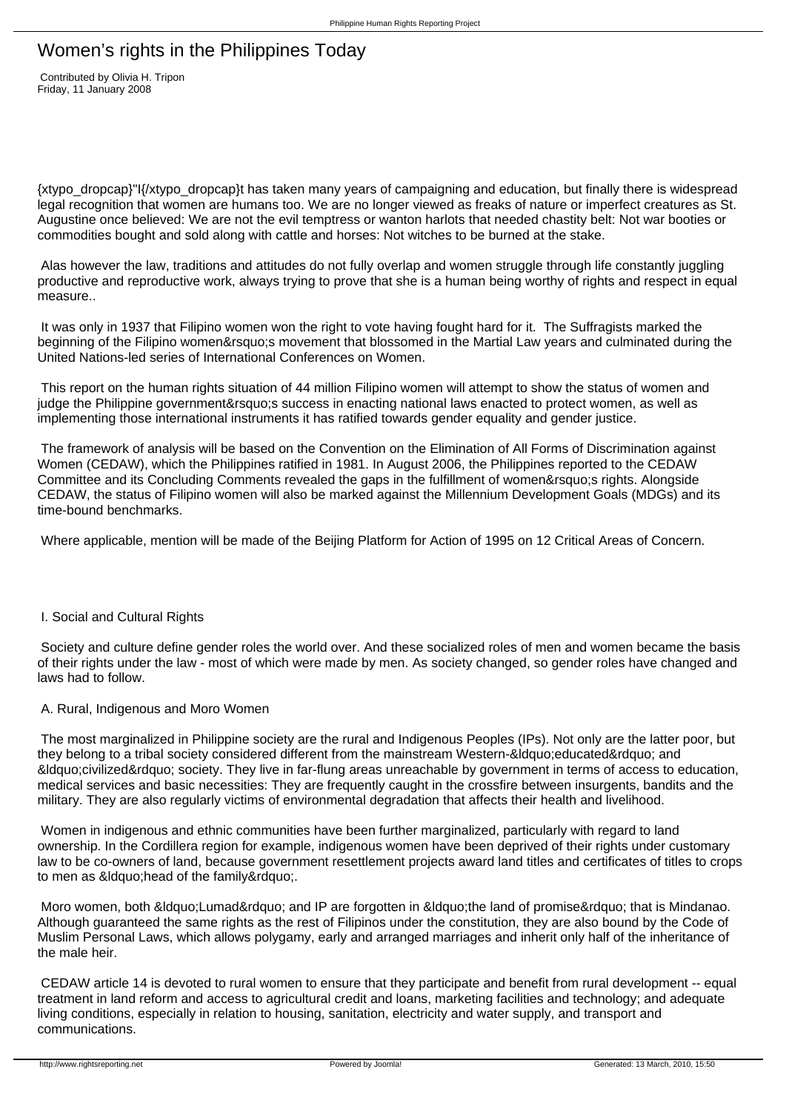# Women's rights in the Philippines Today

 Contributed by Olivia H. Tripon Friday, 11 January 2008

{xtypo\_dropcap}"I{/xtypo\_dropcap}t has taken many years of campaigning and education, but finally there is widespread legal recognition that women are humans too. We are no longer viewed as freaks of nature or imperfect creatures as St. Augustine once believed: We are not the evil temptress or wanton harlots that needed chastity belt: Not war booties or commodities bought and sold along with cattle and horses: Not witches to be burned at the stake.

 Alas however the law, traditions and attitudes do not fully overlap and women struggle through life constantly juggling productive and reproductive work, always trying to prove that she is a human being worthy of rights and respect in equal measure..

It was only in 1937 that Filipino women won the right to vote having fought hard for it. The Suffragists marked the beginning of the Filipino women's movement that blossomed in the Martial Law years and culminated during the United Nations-led series of International Conferences on Women.

 This report on the human rights situation of 44 million Filipino women will attempt to show the status of women and judge the Philippine government's success in enacting national laws enacted to protect women, as well as implementing those international instruments it has ratified towards gender equality and gender justice.

 The framework of analysis will be based on the Convention on the Elimination of All Forms of Discrimination against Women (CEDAW), which the Philippines ratified in 1981. In August 2006, the Philippines reported to the CEDAW Committee and its Concluding Comments revealed the gaps in the fulfillment of women's rights. Alongside CEDAW, the status of Filipino women will also be marked against the Millennium Development Goals (MDGs) and its time-bound benchmarks.

Where applicable, mention will be made of the Beijing Platform for Action of 1995 on 12 Critical Areas of Concern.

# I. Social and Cultural Rights

 Society and culture define gender roles the world over. And these socialized roles of men and women became the basis of their rights under the law - most of which were made by men. As society changed, so gender roles have changed and laws had to follow.

# A. Rural, Indigenous and Moro Women

 The most marginalized in Philippine society are the rural and Indigenous Peoples (IPs). Not only are the latter poor, but they belong to a tribal society considered different from the mainstream Western-&Idquo;educated" and &Idquo;civilized" society. They live in far-flung areas unreachable by government in terms of access to education, medical services and basic necessities: They are frequently caught in the crossfire between insurgents, bandits and the military. They are also regularly victims of environmental degradation that affects their health and livelihood.

 Women in indigenous and ethnic communities have been further marginalized, particularly with regard to land ownership. In the Cordillera region for example, indigenous women have been deprived of their rights under customary law to be co-owners of land, because government resettlement projects award land titles and certificates of titles to crops to men as " head of the family & rdquo;.

Moro women, both " Lumad" and IP are forgotten in " the land of promise" that is Mindanao. Although guaranteed the same rights as the rest of Filipinos under the constitution, they are also bound by the Code of Muslim Personal Laws, which allows polygamy, early and arranged marriages and inherit only half of the inheritance of the male heir.

 CEDAW article 14 is devoted to rural women to ensure that they participate and benefit from rural development -- equal treatment in land reform and access to agricultural credit and loans, marketing facilities and technology; and adequate living conditions, especially in relation to housing, sanitation, electricity and water supply, and transport and communications.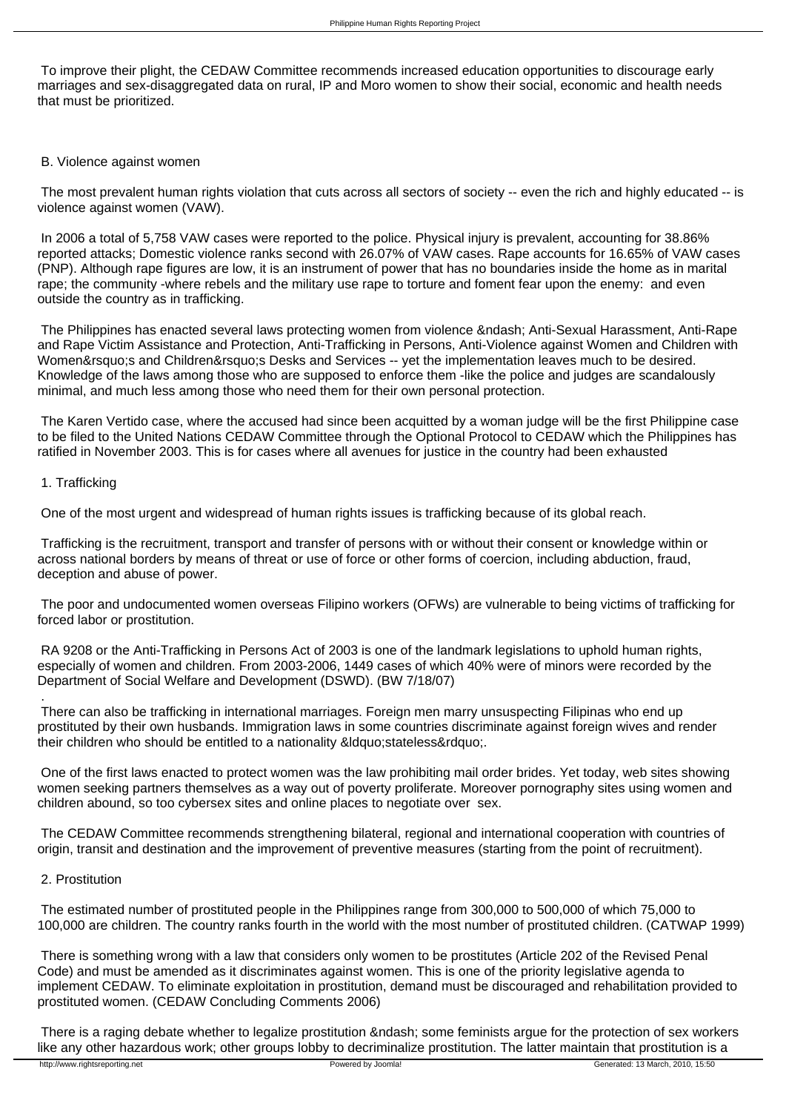To improve their plight, the CEDAW Committee recommends increased education opportunities to discourage early marriages and sex-disaggregated data on rural, IP and Moro women to show their social, economic and health needs that must be prioritized.

## B. Violence against women

 The most prevalent human rights violation that cuts across all sectors of society -- even the rich and highly educated -- is violence against women (VAW).

 In 2006 a total of 5,758 VAW cases were reported to the police. Physical injury is prevalent, accounting for 38.86% reported attacks; Domestic violence ranks second with 26.07% of VAW cases. Rape accounts for 16.65% of VAW cases (PNP). Although rape figures are low, it is an instrument of power that has no boundaries inside the home as in marital rape; the community -where rebels and the military use rape to torture and foment fear upon the enemy: and even outside the country as in trafficking.

The Philippines has enacted several laws protecting women from violence – Anti-Sexual Harassment, Anti-Rape and Rape Victim Assistance and Protection, Anti-Trafficking in Persons, Anti-Violence against Women and Children with Women' s and Children' s Desks and Services -- yet the implementation leaves much to be desired. Knowledge of the laws among those who are supposed to enforce them -like the police and judges are scandalously minimal, and much less among those who need them for their own personal protection.

 The Karen Vertido case, where the accused had since been acquitted by a woman judge will be the first Philippine case to be filed to the United Nations CEDAW Committee through the Optional Protocol to CEDAW which the Philippines has ratified in November 2003. This is for cases where all avenues for justice in the country had been exhausted

#### 1. Trafficking

One of the most urgent and widespread of human rights issues is trafficking because of its global reach.

 Trafficking is the recruitment, transport and transfer of persons with or without their consent or knowledge within or across national borders by means of threat or use of force or other forms of coercion, including abduction, fraud, deception and abuse of power.

 The poor and undocumented women overseas Filipino workers (OFWs) are vulnerable to being victims of trafficking for forced labor or prostitution.

 RA 9208 or the Anti-Trafficking in Persons Act of 2003 is one of the landmark legislations to uphold human rights, especially of women and children. From 2003-2006, 1449 cases of which 40% were of minors were recorded by the Department of Social Welfare and Development (DSWD). (BW 7/18/07)

 There can also be trafficking in international marriages. Foreign men marry unsuspecting Filipinas who end up prostituted by their own husbands. Immigration laws in some countries discriminate against foreign wives and render their children who should be entitled to a nationality &Idquo; stateless".

 One of the first laws enacted to protect women was the law prohibiting mail order brides. Yet today, web sites showing women seeking partners themselves as a way out of poverty proliferate. Moreover pornography sites using women and children abound, so too cybersex sites and online places to negotiate over sex.

 The CEDAW Committee recommends strengthening bilateral, regional and international cooperation with countries of origin, transit and destination and the improvement of preventive measures (starting from the point of recruitment).

## 2. Prostitution

.

 The estimated number of prostituted people in the Philippines range from 300,000 to 500,000 of which 75,000 to 100,000 are children. The country ranks fourth in the world with the most number of prostituted children. (CATWAP 1999)

 There is something wrong with a law that considers only women to be prostitutes (Article 202 of the Revised Penal Code) and must be amended as it discriminates against women. This is one of the priority legislative agenda to implement CEDAW. To eliminate exploitation in prostitution, demand must be discouraged and rehabilitation provided to prostituted women. (CEDAW Concluding Comments 2006)

There is a raging debate whether to legalize prostitution – some feminists argue for the protection of sex workers like any other hazardous work; other groups lobby to decriminalize prostitution. The latter maintain that prostitution is a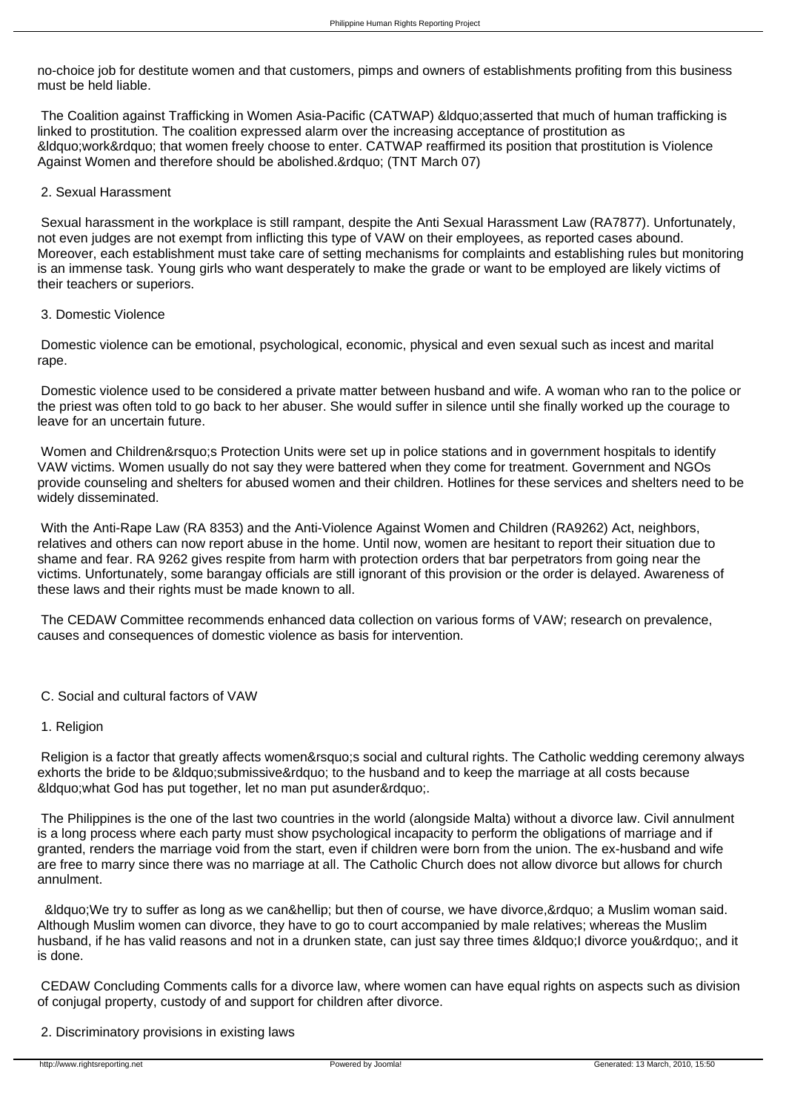no-choice job for destitute women and that customers, pimps and owners of establishments profiting from this business must be held liable.

The Coalition against Trafficking in Women Asia-Pacific (CATWAP) &Idquo:asserted that much of human trafficking is linked to prostitution. The coalition expressed alarm over the increasing acceptance of prostitution as  $\&$ ldquo;work $&$ rdquo; that women freely choose to enter. CATWAP reaffirmed its position that prostitution is Violence Against Women and therefore should be abolished. & rdquo; (TNT March 07)

## 2. Sexual Harassment

 Sexual harassment in the workplace is still rampant, despite the Anti Sexual Harassment Law (RA7877). Unfortunately, not even judges are not exempt from inflicting this type of VAW on their employees, as reported cases abound. Moreover, each establishment must take care of setting mechanisms for complaints and establishing rules but monitoring is an immense task. Young girls who want desperately to make the grade or want to be employed are likely victims of their teachers or superiors.

# 3. Domestic Violence

 Domestic violence can be emotional, psychological, economic, physical and even sexual such as incest and marital rape.

 Domestic violence used to be considered a private matter between husband and wife. A woman who ran to the police or the priest was often told to go back to her abuser. She would suffer in silence until she finally worked up the courage to leave for an uncertain future.

Women and Children' Protection Units were set up in police stations and in government hospitals to identify VAW victims. Women usually do not say they were battered when they come for treatment. Government and NGOs provide counseling and shelters for abused women and their children. Hotlines for these services and shelters need to be widely disseminated.

 With the Anti-Rape Law (RA 8353) and the Anti-Violence Against Women and Children (RA9262) Act, neighbors, relatives and others can now report abuse in the home. Until now, women are hesitant to report their situation due to shame and fear. RA 9262 gives respite from harm with protection orders that bar perpetrators from going near the victims. Unfortunately, some barangay officials are still ignorant of this provision or the order is delayed. Awareness of these laws and their rights must be made known to all.

 The CEDAW Committee recommends enhanced data collection on various forms of VAW; research on prevalence, causes and consequences of domestic violence as basis for intervention.

# C. Social and cultural factors of VAW

# 1. Religion

Religion is a factor that greatly affects women's social and cultural rights. The Catholic wedding ceremony always exhorts the bride to be " submissive" to the husband and to keep the marriage at all costs because &Idquo; what God has put together, let no man put asunder".

 The Philippines is the one of the last two countries in the world (alongside Malta) without a divorce law. Civil annulment is a long process where each party must show psychological incapacity to perform the obligations of marriage and if granted, renders the marriage void from the start, even if children were born from the union. The ex-husband and wife are free to marry since there was no marriage at all. The Catholic Church does not allow divorce but allows for church annulment.

" We try to suffer as long as we can… but then of course, we have divorce, " a Muslim woman said. Although Muslim women can divorce, they have to go to court accompanied by male relatives; whereas the Muslim husband, if he has valid reasons and not in a drunken state, can just say three times "I divorce you", and it is done.

 CEDAW Concluding Comments calls for a divorce law, where women can have equal rights on aspects such as division of conjugal property, custody of and support for children after divorce.

2. Discriminatory provisions in existing laws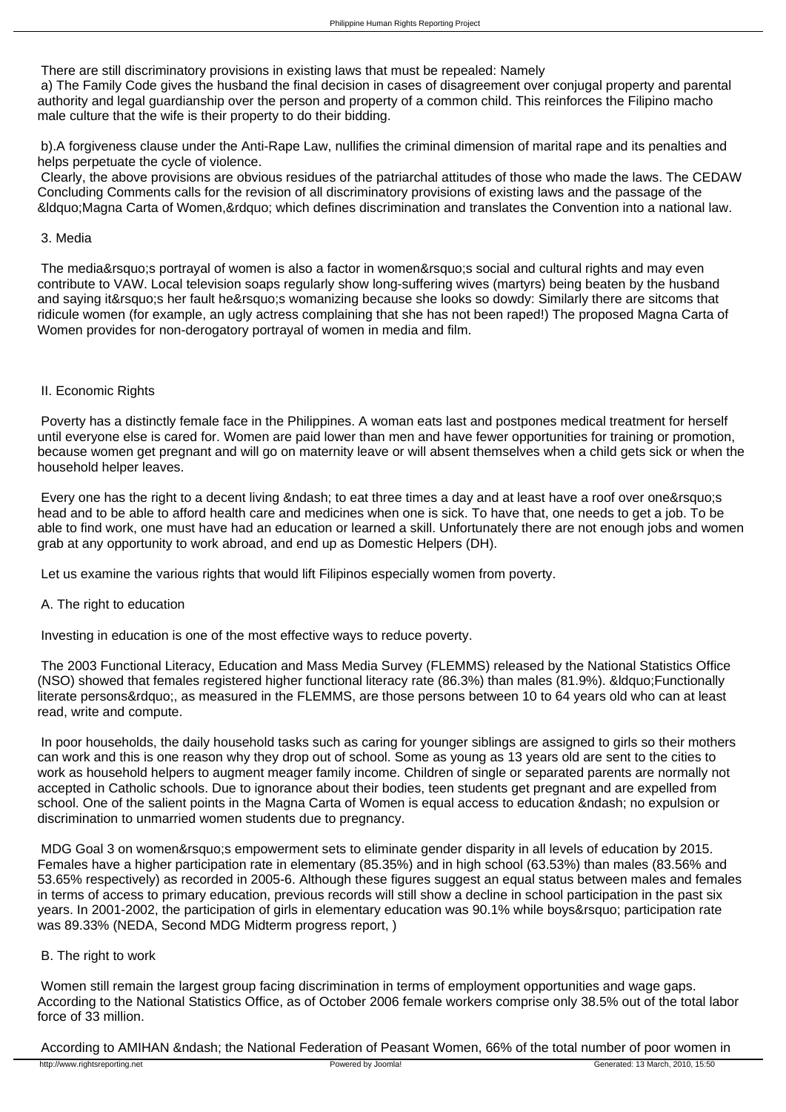There are still discriminatory provisions in existing laws that must be repealed: Namely a) The Family Code gives the husband the final decision in cases of disagreement over conjugal property and parental

authority and legal guardianship over the person and property of a common child. This reinforces the Filipino macho male culture that the wife is their property to do their bidding.

 b).A forgiveness clause under the Anti-Rape Law, nullifies the criminal dimension of marital rape and its penalties and helps perpetuate the cycle of violence.

 Clearly, the above provisions are obvious residues of the patriarchal attitudes of those who made the laws. The CEDAW Concluding Comments calls for the revision of all discriminatory provisions of existing laws and the passage of the  $\&$ ldguo:Magna Carta of Women, & rdguo: which defines discrimination and translates the Convention into a national law.

## 3. Media

The media' sportrayal of women is also a factor in women' ssocial and cultural rights and may even contribute to VAW. Local television soaps regularly show long-suffering wives (martyrs) being beaten by the husband and saying it' sher fault he' swomanizing because she looks so dowdy: Similarly there are sitcoms that ridicule women (for example, an ugly actress complaining that she has not been raped!) The proposed Magna Carta of Women provides for non-derogatory portrayal of women in media and film.

# II. Economic Rights

 Poverty has a distinctly female face in the Philippines. A woman eats last and postpones medical treatment for herself until everyone else is cared for. Women are paid lower than men and have fewer opportunities for training or promotion, because women get pregnant and will go on maternity leave or will absent themselves when a child gets sick or when the household helper leaves.

Every one has the right to a decent living – to eat three times a day and at least have a roof over one's head and to be able to afford health care and medicines when one is sick. To have that, one needs to get a job. To be able to find work, one must have had an education or learned a skill. Unfortunately there are not enough jobs and women grab at any opportunity to work abroad, and end up as Domestic Helpers (DH).

Let us examine the various rights that would lift Filipinos especially women from poverty.

# A. The right to education

Investing in education is one of the most effective ways to reduce poverty.

 The 2003 Functional Literacy, Education and Mass Media Survey (FLEMMS) released by the National Statistics Office (NSO) showed that females registered higher functional literacy rate (86.3%) than males (81.9%). & diquo: Functionally literate persons", as measured in the FLEMMS, are those persons between 10 to 64 years old who can at least read, write and compute.

 In poor households, the daily household tasks such as caring for younger siblings are assigned to girls so their mothers can work and this is one reason why they drop out of school. Some as young as 13 years old are sent to the cities to work as household helpers to augment meager family income. Children of single or separated parents are normally not accepted in Catholic schools. Due to ignorance about their bodies, teen students get pregnant and are expelled from school. One of the salient points in the Magna Carta of Women is equal access to education – no expulsion or discrimination to unmarried women students due to pregnancy.

MDG Goal 3 on women&rsquo:s empowerment sets to eliminate gender disparity in all levels of education by 2015. Females have a higher participation rate in elementary (85.35%) and in high school (63.53%) than males (83.56% and 53.65% respectively) as recorded in 2005-6. Although these figures suggest an equal status between males and females in terms of access to primary education, previous records will still show a decline in school participation in the past six years. In 2001-2002, the participation of girls in elementary education was 90.1% while boys' participation rate was 89.33% (NEDA, Second MDG Midterm progress report, )

# B. The right to work

 Women still remain the largest group facing discrimination in terms of employment opportunities and wage gaps. According to the National Statistics Office, as of October 2006 female workers comprise only 38.5% out of the total labor force of 33 million.

According to AMIHAN – the National Federation of Peasant Women, 66% of the total number of poor women in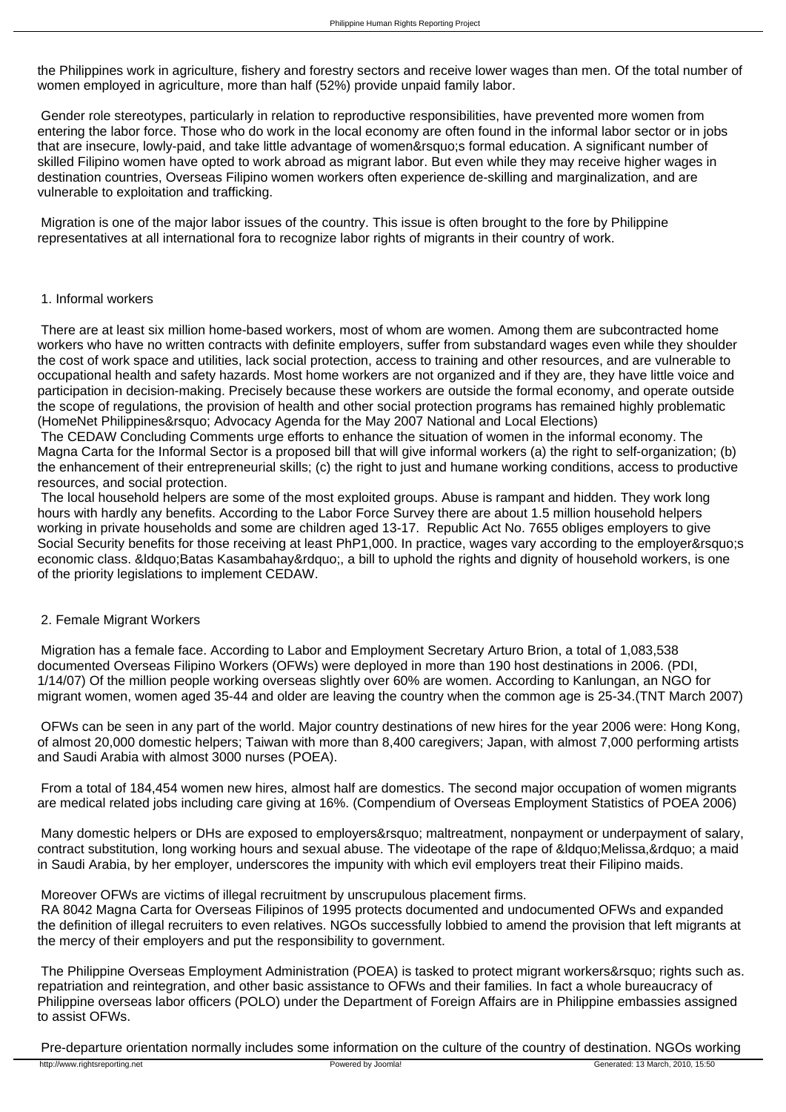the Philippines work in agriculture, fishery and forestry sectors and receive lower wages than men. Of the total number of women employed in agriculture, more than half (52%) provide unpaid family labor.

 Gender role stereotypes, particularly in relation to reproductive responsibilities, have prevented more women from entering the labor force. Those who do work in the local economy are often found in the informal labor sector or in jobs that are insecure, lowly-paid, and take little advantage of women' sformal education. A significant number of skilled Filipino women have opted to work abroad as migrant labor. But even while they may receive higher wages in destination countries, Overseas Filipino women workers often experience de-skilling and marginalization, and are vulnerable to exploitation and trafficking.

 Migration is one of the major labor issues of the country. This issue is often brought to the fore by Philippine representatives at all international fora to recognize labor rights of migrants in their country of work.

## 1. Informal workers

 There are at least six million home-based workers, most of whom are women. Among them are subcontracted home workers who have no written contracts with definite employers, suffer from substandard wages even while they shoulder the cost of work space and utilities, lack social protection, access to training and other resources, and are vulnerable to occupational health and safety hazards. Most home workers are not organized and if they are, they have little voice and participation in decision-making. Precisely because these workers are outside the formal economy, and operate outside the scope of regulations, the provision of health and other social protection programs has remained highly problematic (HomeNet Philippines' Advocacy Agenda for the May 2007 National and Local Elections)

 The CEDAW Concluding Comments urge efforts to enhance the situation of women in the informal economy. The Magna Carta for the Informal Sector is a proposed bill that will give informal workers (a) the right to self-organization; (b) the enhancement of their entrepreneurial skills; (c) the right to just and humane working conditions, access to productive resources, and social protection.

 The local household helpers are some of the most exploited groups. Abuse is rampant and hidden. They work long hours with hardly any benefits. According to the Labor Force Survey there are about 1.5 million household helpers working in private households and some are children aged 13-17. Republic Act No. 7655 obliges employers to give Social Security benefits for those receiving at least PhP1,000. In practice, wages vary according to the employer's economic class. &Idquo;Batas Kasambahay", a bill to uphold the rights and dignity of household workers, is one of the priority legislations to implement CEDAW.

# 2. Female Migrant Workers

 Migration has a female face. According to Labor and Employment Secretary Arturo Brion, a total of 1,083,538 documented Overseas Filipino Workers (OFWs) were deployed in more than 190 host destinations in 2006. (PDI, 1/14/07) Of the million people working overseas slightly over 60% are women. According to Kanlungan, an NGO for migrant women, women aged 35-44 and older are leaving the country when the common age is 25-34.(TNT March 2007)

 OFWs can be seen in any part of the world. Major country destinations of new hires for the year 2006 were: Hong Kong, of almost 20,000 domestic helpers; Taiwan with more than 8,400 caregivers; Japan, with almost 7,000 performing artists and Saudi Arabia with almost 3000 nurses (POEA).

 From a total of 184,454 women new hires, almost half are domestics. The second major occupation of women migrants are medical related jobs including care giving at 16%. (Compendium of Overseas Employment Statistics of POEA 2006)

Many domestic helpers or DHs are exposed to employers' maltreatment, nonpayment or underpayment of salary, contract substitution, long working hours and sexual abuse. The videotape of the rape of &ldguo: Melissa, &rdguo: a maid in Saudi Arabia, by her employer, underscores the impunity with which evil employers treat their Filipino maids.

#### Moreover OFWs are victims of illegal recruitment by unscrupulous placement firms.

 RA 8042 Magna Carta for Overseas Filipinos of 1995 protects documented and undocumented OFWs and expanded the definition of illegal recruiters to even relatives. NGOs successfully lobbied to amend the provision that left migrants at the mercy of their employers and put the responsibility to government.

The Philippine Overseas Employment Administration (POEA) is tasked to protect migrant workers' rights such as. repatriation and reintegration, and other basic assistance to OFWs and their families. In fact a whole bureaucracy of Philippine overseas labor officers (POLO) under the Department of Foreign Affairs are in Philippine embassies assigned to assist OFWs.

Pre-departure orientation normally includes some information on the culture of the country of destination. NGOs working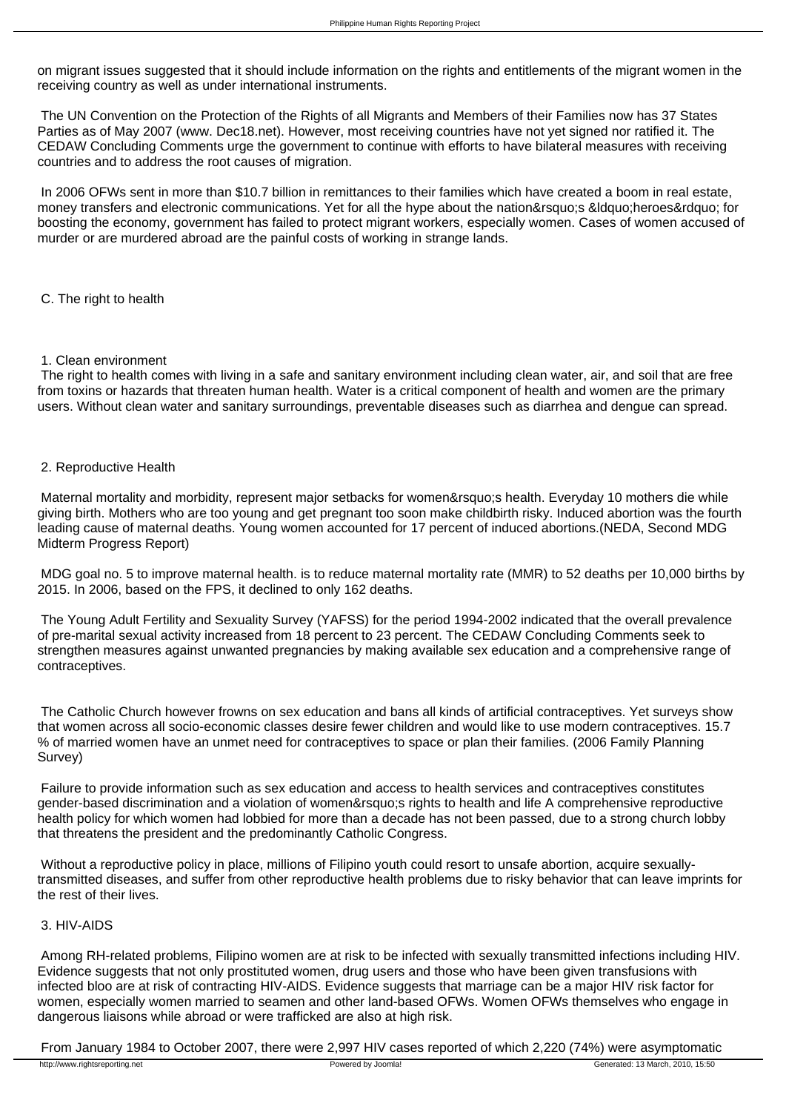on migrant issues suggested that it should include information on the rights and entitlements of the migrant women in the receiving country as well as under international instruments.

 The UN Convention on the Protection of the Rights of all Migrants and Members of their Families now has 37 States Parties as of May 2007 (www. Dec18.net). However, most receiving countries have not yet signed nor ratified it. The CEDAW Concluding Comments urge the government to continue with efforts to have bilateral measures with receiving countries and to address the root causes of migration.

 In 2006 OFWs sent in more than \$10.7 billion in remittances to their families which have created a boom in real estate, money transfers and electronic communications. Yet for all the hype about the nation&rsquo:s &Idquo:heroes&rdquo: for boosting the economy, government has failed to protect migrant workers, especially women. Cases of women accused of murder or are murdered abroad are the painful costs of working in strange lands.

C. The right to health

#### 1. Clean environment

 The right to health comes with living in a safe and sanitary environment including clean water, air, and soil that are free from toxins or hazards that threaten human health. Water is a critical component of health and women are the primary users. Without clean water and sanitary surroundings, preventable diseases such as diarrhea and dengue can spread.

# 2. Reproductive Health

Maternal mortality and morbidity, represent major setbacks for women&rsquo:s health. Everyday 10 mothers die while giving birth. Mothers who are too young and get pregnant too soon make childbirth risky. Induced abortion was the fourth leading cause of maternal deaths. Young women accounted for 17 percent of induced abortions.(NEDA, Second MDG Midterm Progress Report)

 MDG goal no. 5 to improve maternal health. is to reduce maternal mortality rate (MMR) to 52 deaths per 10,000 births by 2015. In 2006, based on the FPS, it declined to only 162 deaths.

 The Young Adult Fertility and Sexuality Survey (YAFSS) for the period 1994-2002 indicated that the overall prevalence of pre-marital sexual activity increased from 18 percent to 23 percent. The CEDAW Concluding Comments seek to strengthen measures against unwanted pregnancies by making available sex education and a comprehensive range of contraceptives.

 The Catholic Church however frowns on sex education and bans all kinds of artificial contraceptives. Yet surveys show that women across all socio-economic classes desire fewer children and would like to use modern contraceptives. 15.7 % of married women have an unmet need for contraceptives to space or plan their families. (2006 Family Planning Survey)

 Failure to provide information such as sex education and access to health services and contraceptives constitutes gender-based discrimination and a violation of women' srights to health and life A comprehensive reproductive health policy for which women had lobbied for more than a decade has not been passed, due to a strong church lobby that threatens the president and the predominantly Catholic Congress.

Without a reproductive policy in place, millions of Filipino youth could resort to unsafe abortion, acquire sexuallytransmitted diseases, and suffer from other reproductive health problems due to risky behavior that can leave imprints for the rest of their lives.

# 3. HIV-AIDS

 Among RH-related problems, Filipino women are at risk to be infected with sexually transmitted infections including HIV. Evidence suggests that not only prostituted women, drug users and those who have been given transfusions with infected bloo are at risk of contracting HIV-AIDS. Evidence suggests that marriage can be a major HIV risk factor for women, especially women married to seamen and other land-based OFWs. Women OFWs themselves who engage in dangerous liaisons while abroad or were trafficked are also at high risk.

From January 1984 to October 2007, there were 2,997 HIV cases reported of which 2,220 (74%) were asymptomatic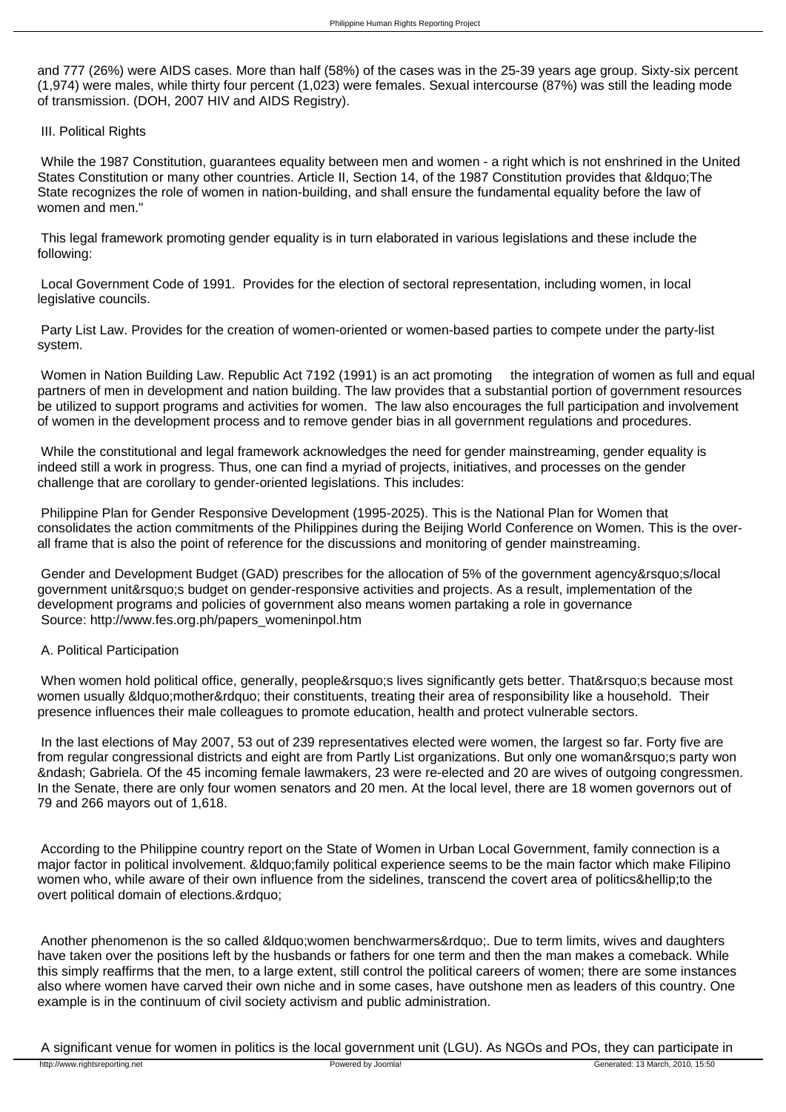and 777 (26%) were AIDS cases. More than half (58%) of the cases was in the 25-39 years age group. Sixty-six percent (1,974) were males, while thirty four percent (1,023) were females. Sexual intercourse (87%) was still the leading mode of transmission. (DOH, 2007 HIV and AIDS Registry).

# III. Political Rights

 While the 1987 Constitution, guarantees equality between men and women - a right which is not enshrined in the United States Constitution or many other countries. Article II, Section 14, of the 1987 Constitution provides that &Idquo; The State recognizes the role of women in nation-building, and shall ensure the fundamental equality before the law of women and men."

 This legal framework promoting gender equality is in turn elaborated in various legislations and these include the following:

 Local Government Code of 1991. Provides for the election of sectoral representation, including women, in local legislative councils.

 Party List Law. Provides for the creation of women-oriented or women-based parties to compete under the party-list system.

 Women in Nation Building Law. Republic Act 7192 (1991) is an act promoting the integration of women as full and equal partners of men in development and nation building. The law provides that a substantial portion of government resources be utilized to support programs and activities for women. The law also encourages the full participation and involvement of women in the development process and to remove gender bias in all government regulations and procedures.

 While the constitutional and legal framework acknowledges the need for gender mainstreaming, gender equality is indeed still a work in progress. Thus, one can find a myriad of projects, initiatives, and processes on the gender challenge that are corollary to gender-oriented legislations. This includes:

 Philippine Plan for Gender Responsive Development (1995-2025). This is the National Plan for Women that consolidates the action commitments of the Philippines during the Beijing World Conference on Women. This is the overall frame that is also the point of reference for the discussions and monitoring of gender mainstreaming.

Gender and Development Budget (GAD) prescribes for the allocation of 5% of the government agency&rsquo:s/local government unit' s budget on gender-responsive activities and projects. As a result, implementation of the development programs and policies of government also means women partaking a role in governance Source: http://www.fes.org.ph/papers\_womeninpol.htm

# A. Political Participation

When women hold political office, generally, people's lives significantly gets better. That's because most women usually " mother" their constituents, treating their area of responsibility like a household. Their presence influences their male colleagues to promote education, health and protect vulnerable sectors.

 In the last elections of May 2007, 53 out of 239 representatives elected were women, the largest so far. Forty five are from regular congressional districts and eight are from Partly List organizations. But only one woman's party won – Gabriela. Of the 45 incoming female lawmakers, 23 were re-elected and 20 are wives of outgoing congressmen. In the Senate, there are only four women senators and 20 men. At the local level, there are 18 women governors out of 79 and 266 mayors out of 1,618.

 According to the Philippine country report on the State of Women in Urban Local Government, family connection is a major factor in political involvement. & douo: family political experience seems to be the main factor which make Filipino women who, while aware of their own influence from the sidelines, transcend the covert area of politics…to the overt political domain of elections.&rdquo:

Another phenomenon is the so called " women benchwarmers". Due to term limits, wives and daughters have taken over the positions left by the husbands or fathers for one term and then the man makes a comeback. While this simply reaffirms that the men, to a large extent, still control the political careers of women; there are some instances also where women have carved their own niche and in some cases, have outshone men as leaders of this country. One example is in the continuum of civil society activism and public administration.

A significant venue for women in politics is the local government unit (LGU). As NGOs and POs, they can participate in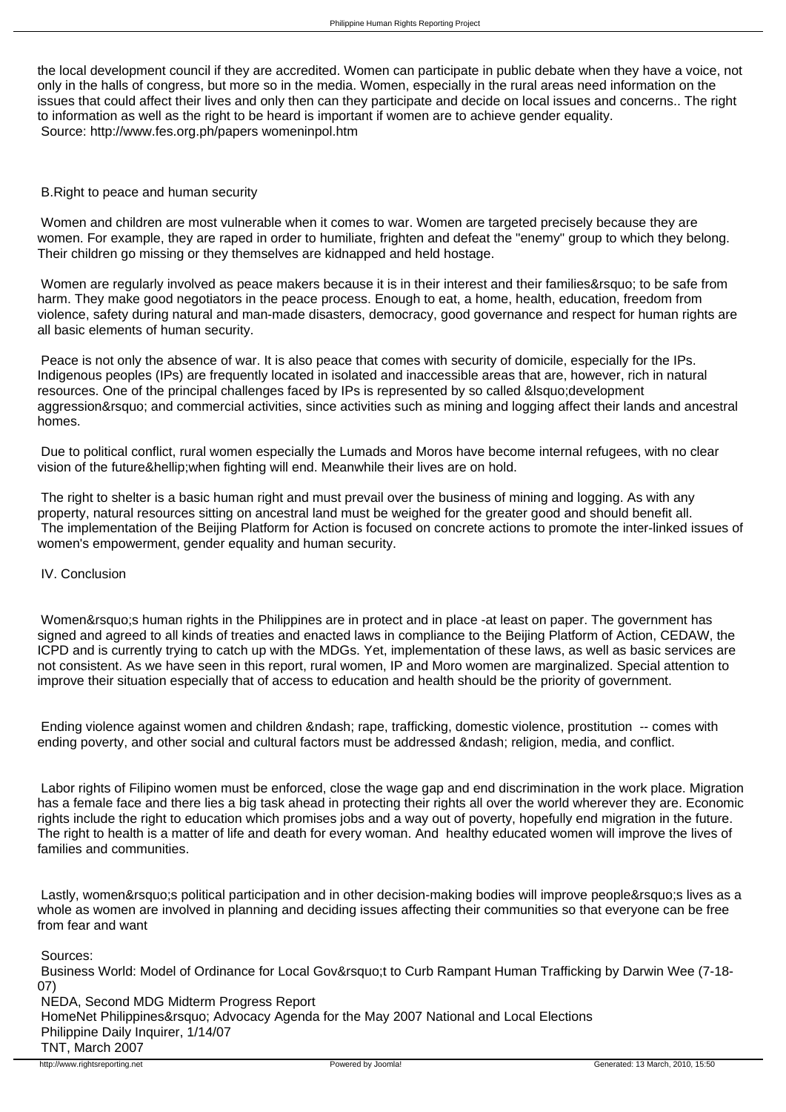the local development council if they are accredited. Women can participate in public debate when they have a voice, not only in the halls of congress, but more so in the media. Women, especially in the rural areas need information on the issues that could affect their lives and only then can they participate and decide on local issues and concerns.. The right to information as well as the right to be heard is important if women are to achieve gender equality. Source: http://www.fes.org.ph/papers womeninpol.htm

## B.Right to peace and human security

 Women and children are most vulnerable when it comes to war. Women are targeted precisely because they are women. For example, they are raped in order to humiliate, frighten and defeat the "enemy" group to which they belong. Their children go missing or they themselves are kidnapped and held hostage.

Women are regularly involved as peace makers because it is in their interest and their families' to be safe from harm. They make good negotiators in the peace process. Enough to eat, a home, health, education, freedom from violence, safety during natural and man-made disasters, democracy, good governance and respect for human rights are all basic elements of human security.

 Peace is not only the absence of war. It is also peace that comes with security of domicile, especially for the IPs. Indigenous peoples (IPs) are frequently located in isolated and inaccessible areas that are, however, rich in natural resources. One of the principal challenges faced by IPs is represented by so called ' development aggression' and commercial activities, since activities such as mining and logging affect their lands and ancestral homes.

 Due to political conflict, rural women especially the Lumads and Moros have become internal refugees, with no clear vision of the future… when fighting will end. Meanwhile their lives are on hold.

The right to shelter is a basic human right and must prevail over the business of mining and logging. As with any property, natural resources sitting on ancestral land must be weighed for the greater good and should benefit all. The implementation of the Beijing Platform for Action is focused on concrete actions to promote the inter-linked issues of women's empowerment, gender equality and human security.

# IV. Conclusion

Women' shuman rights in the Philippines are in protect and in place -at least on paper. The government has signed and agreed to all kinds of treaties and enacted laws in compliance to the Beijing Platform of Action, CEDAW, the ICPD and is currently trying to catch up with the MDGs. Yet, implementation of these laws, as well as basic services are not consistent. As we have seen in this report, rural women, IP and Moro women are marginalized. Special attention to improve their situation especially that of access to education and health should be the priority of government.

Ending violence against women and children – rape, trafficking, domestic violence, prostitution -- comes with ending poverty, and other social and cultural factors must be addressed – religion, media, and conflict.

 Labor rights of Filipino women must be enforced, close the wage gap and end discrimination in the work place. Migration has a female face and there lies a big task ahead in protecting their rights all over the world wherever they are. Economic rights include the right to education which promises jobs and a way out of poverty, hopefully end migration in the future. The right to health is a matter of life and death for every woman. And healthy educated women will improve the lives of families and communities.

Lastly, women's political participation and in other decision-making bodies will improve people's lives as a whole as women are involved in planning and deciding issues affecting their communities so that everyone can be free from fear and want

Sources:

Business World: Model of Ordinance for Local Gov&rsquo:t to Curb Rampant Human Trafficking by Darwin Wee (7-18-07)

 NEDA, Second MDG Midterm Progress Report HomeNet Philippines' Advocacy Agenda for the May 2007 National and Local Elections Philippine Daily Inquirer, 1/14/07 TNT, March 2007